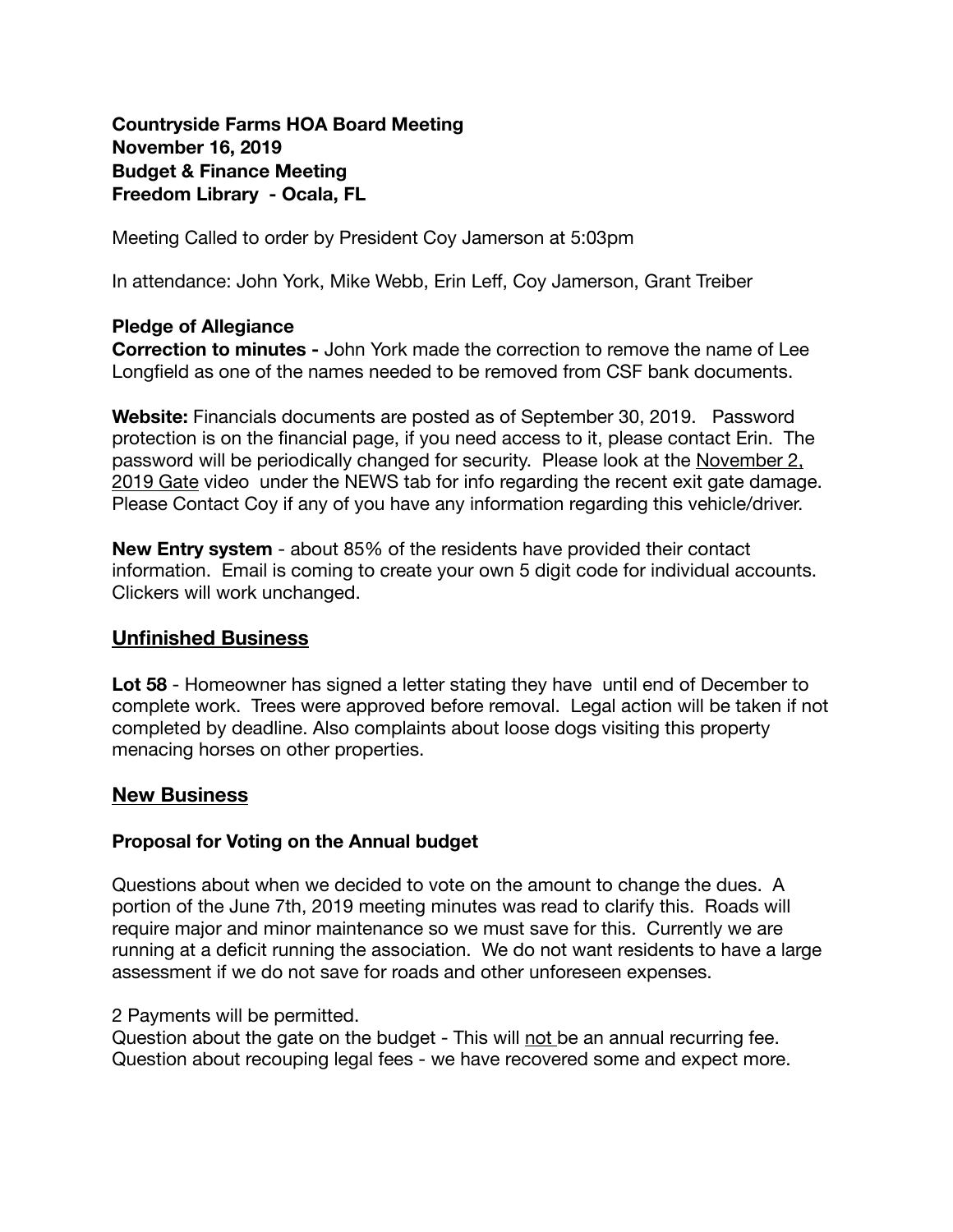**Countryside Farms HOA Board Meeting November 16, 2019 Budget & Finance Meeting Freedom Library - Ocala, FL** 

Meeting Called to order by President Coy Jamerson at 5:03pm

In attendance: John York, Mike Webb, Erin Leff, Coy Jamerson, Grant Treiber

## **Pledge of Allegiance**

**Correction to minutes -** John York made the correction to remove the name of Lee Longfield as one of the names needed to be removed from CSF bank documents.

**Website:** Financials documents are posted as of September 30, 2019. Password protection is on the financial page, if you need access to it, please contact Erin. The password will be periodically changed for security. Please look at the November 2, 2019 Gate video under the NEWS tab for info regarding the recent exit gate damage. Please Contact Coy if any of you have any information regarding this vehicle/driver.

**New Entry system** - about 85% of the residents have provided their contact information. Email is coming to create your own 5 digit code for individual accounts. Clickers will work unchanged.

# **Unfinished Business**

**Lot 58** - Homeowner has signed a letter stating they have until end of December to complete work. Trees were approved before removal. Legal action will be taken if not completed by deadline. Also complaints about loose dogs visiting this property menacing horses on other properties.

# **New Business**

### **Proposal for Voting on the Annual budget**

Questions about when we decided to vote on the amount to change the dues. A portion of the June 7th, 2019 meeting minutes was read to clarify this. Roads will require major and minor maintenance so we must save for this. Currently we are running at a deficit running the association. We do not want residents to have a large assessment if we do not save for roads and other unforeseen expenses.

### 2 Payments will be permitted.

Question about the gate on the budget - This will not be an annual recurring fee. Question about recouping legal fees - we have recovered some and expect more.